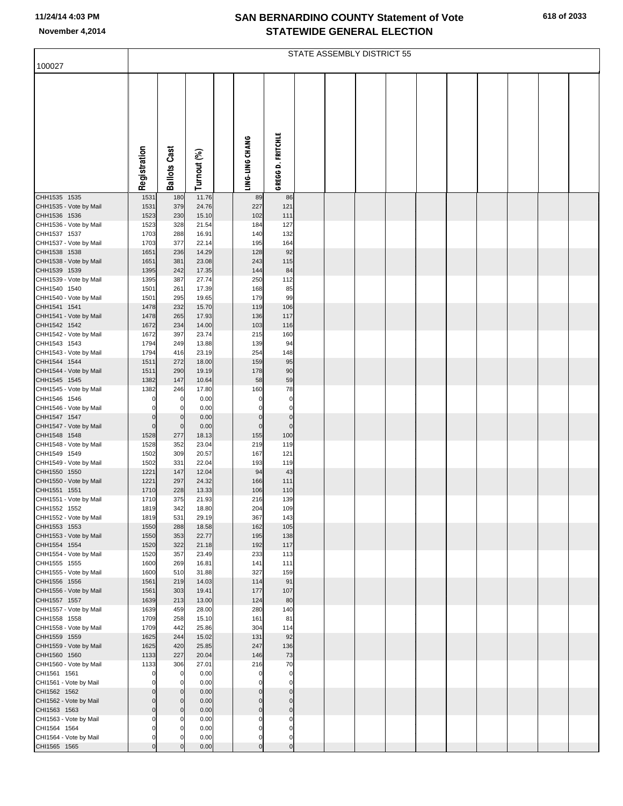## **SAN BERNARDINO COUNTY Statement of Vote November 4,2014 STATEWIDE GENERAL ELECTION**

| 100027                                 | STATE ASSEMBLY DISTRICT 55 |                            |                |  |                            |                            |  |  |  |  |  |  |  |  |  |
|----------------------------------------|----------------------------|----------------------------|----------------|--|----------------------------|----------------------------|--|--|--|--|--|--|--|--|--|
|                                        |                            |                            |                |  |                            |                            |  |  |  |  |  |  |  |  |  |
|                                        | Registration               | <b>Ballots Cast</b>        | Turnout (%)    |  | LING-LING CHANG            | <b>GREGG D. FRITCHLE</b>   |  |  |  |  |  |  |  |  |  |
| CHH1535 1535                           | 1531                       | 180                        | 11.76          |  | 89                         | 86                         |  |  |  |  |  |  |  |  |  |
| CHH1535 - Vote by Mail                 | 1531                       | 379                        | 24.76          |  | 227                        | 121                        |  |  |  |  |  |  |  |  |  |
| CHH1536 1536                           | 1523                       | 230                        | 15.10          |  | 102                        | 111                        |  |  |  |  |  |  |  |  |  |
| CHH1536 - Vote by Mail<br>CHH1537 1537 | 1523<br>1703               | 328<br>288                 | 21.54<br>16.91 |  | 184<br>140                 | 127<br>132                 |  |  |  |  |  |  |  |  |  |
| CHH1537 - Vote by Mail                 | 1703                       | 377                        | 22.14          |  | 195                        | 164                        |  |  |  |  |  |  |  |  |  |
| CHH1538 1538                           | 1651                       | 236                        | 14.29          |  | 128                        | 92                         |  |  |  |  |  |  |  |  |  |
| CHH1538 - Vote by Mail                 | 1651                       | 381                        | 23.08          |  | 243                        | 115                        |  |  |  |  |  |  |  |  |  |
| CHH1539 1539<br>CHH1539 - Vote by Mail | 1395<br>1395               | 242<br>387                 | 17.35<br>27.74 |  | 144<br>250                 | 84<br>112                  |  |  |  |  |  |  |  |  |  |
| CHH1540 1540                           | 1501                       | 261                        | 17.39          |  | 168                        | 85                         |  |  |  |  |  |  |  |  |  |
| CHH1540 - Vote by Mail                 | 1501                       | 295                        | 19.65          |  | 179                        | 99                         |  |  |  |  |  |  |  |  |  |
| CHH1541 1541                           | 1478                       | 232                        | 15.70          |  | 119                        | 106                        |  |  |  |  |  |  |  |  |  |
| CHH1541 - Vote by Mail<br>CHH1542 1542 | 1478<br>1672               | 265<br>234                 | 17.93<br>14.00 |  | 136<br>103                 | 117<br>116                 |  |  |  |  |  |  |  |  |  |
| CHH1542 - Vote by Mail                 | 1672                       | 397                        | 23.74          |  | 215                        | 160                        |  |  |  |  |  |  |  |  |  |
| CHH1543 1543                           | 1794                       | 249                        | 13.88          |  | 139                        | 94                         |  |  |  |  |  |  |  |  |  |
| CHH1543 - Vote by Mail                 | 1794                       | 416                        | 23.19          |  | 254                        | 148                        |  |  |  |  |  |  |  |  |  |
| CHH1544 1544<br>CHH1544 - Vote by Mail | 1511<br>1511               | 272<br>290                 | 18.00<br>19.19 |  | 159<br>178                 | 95<br>90                   |  |  |  |  |  |  |  |  |  |
| CHH1545 1545                           | 1382                       | 147                        | 10.64          |  | 58                         | 59                         |  |  |  |  |  |  |  |  |  |
| CHH1545 - Vote by Mail                 | 1382                       | 246                        | 17.80          |  | 160                        | 78                         |  |  |  |  |  |  |  |  |  |
| CHH1546 1546                           | $\Omega$                   | $\mathbf 0$                | 0.00           |  | $\Omega$                   | $\pmb{0}$                  |  |  |  |  |  |  |  |  |  |
| CHH1546 - Vote by Mail                 | $\Omega$                   | $\mathbf 0$<br>$\mathbf 0$ | 0.00           |  | O                          | $\mathbf 0$                |  |  |  |  |  |  |  |  |  |
| CHH1547 1547<br>CHH1547 - Vote by Mail | 0<br>$\mathbf 0$           | $\overline{0}$             | 0.00<br>0.00   |  | $\mathbf 0$<br>$\mathbf 0$ | $\pmb{0}$<br>$\mathbf 0$   |  |  |  |  |  |  |  |  |  |
| CHH1548 1548                           | 1528                       | 277                        | 18.13          |  | 155                        | 100                        |  |  |  |  |  |  |  |  |  |
| CHH1548 - Vote by Mail                 | 1528                       | 352                        | 23.04          |  | 219                        | 119                        |  |  |  |  |  |  |  |  |  |
| CHH1549 1549                           | 1502                       | 309                        | 20.57          |  | 167                        | 121                        |  |  |  |  |  |  |  |  |  |
| CHH1549 - Vote by Mail<br>CHH1550 1550 | 1502<br>1221               | 331<br>147                 | 22.04<br>12.04 |  | 193<br>94                  | 119<br>43                  |  |  |  |  |  |  |  |  |  |
| CHH1550 - Vote by Mail                 | 1221                       | 297                        | 24.32          |  | 166                        | 111                        |  |  |  |  |  |  |  |  |  |
| CHH1551 1551                           | 1710                       | 228                        | 13.33          |  | 106                        | 110                        |  |  |  |  |  |  |  |  |  |
| CHH1551 - Vote by Mail                 | 1710                       | 375                        | 21.93          |  | 216                        | 139                        |  |  |  |  |  |  |  |  |  |
| CHH1552 1552<br>CHH1552 - Vote by Mail | 1819<br>1819               | 342<br>531                 | 18.80<br>29.19 |  | 204<br>367                 | 109<br>143                 |  |  |  |  |  |  |  |  |  |
| CHH1553 1553                           | 1550                       | 288                        | 18.58          |  | 162                        | 105                        |  |  |  |  |  |  |  |  |  |
| CHH1553 - Vote by Mail                 | 1550                       | 353                        | 22.77          |  | 195                        | 138                        |  |  |  |  |  |  |  |  |  |
| CHH1554 1554                           | 1520                       | 322                        | 21.18          |  | 192                        | 117                        |  |  |  |  |  |  |  |  |  |
| CHH1554 - Vote by Mail<br>CHH1555 1555 | 1520<br>1600               | 357<br>269                 | 23.49<br>16.81 |  | 233<br>141                 | 113<br>111                 |  |  |  |  |  |  |  |  |  |
| CHH1555 - Vote by Mail                 | 1600                       | 510                        | 31.88          |  | 327                        | 159                        |  |  |  |  |  |  |  |  |  |
| CHH1556 1556                           | 1561                       | 219                        | 14.03          |  | 114                        | 91                         |  |  |  |  |  |  |  |  |  |
| CHH1556 - Vote by Mail                 | 1561                       | 303                        | 19.41          |  | 177                        | 107                        |  |  |  |  |  |  |  |  |  |
| CHH1557 1557<br>CHH1557 - Vote by Mail | 1639<br>1639               | 213<br>459                 | 13.00<br>28.00 |  | 124<br>280                 | 80<br>140                  |  |  |  |  |  |  |  |  |  |
| CHH1558 1558                           | 1709                       | 258                        | 15.10          |  | 161                        | 81                         |  |  |  |  |  |  |  |  |  |
| CHH1558 - Vote by Mail                 | 1709                       | 442                        | 25.86          |  | 304                        | 114                        |  |  |  |  |  |  |  |  |  |
| CHH1559 1559                           | 1625                       | 244                        | 15.02          |  | 131                        | 92                         |  |  |  |  |  |  |  |  |  |
| CHH1559 - Vote by Mail<br>CHH1560 1560 | 1625<br>1133               | 420<br>227                 | 25.85<br>20.04 |  | 247<br>146                 | 136<br>73                  |  |  |  |  |  |  |  |  |  |
| CHH1560 - Vote by Mail                 | 1133                       | 306                        | 27.01          |  | 216                        | 70                         |  |  |  |  |  |  |  |  |  |
| CHI1561 1561                           | $\Omega$                   | $\Omega$                   | 0.00           |  | $\Omega$                   | $\pmb{0}$                  |  |  |  |  |  |  |  |  |  |
| CHI1561 - Vote by Mail                 |                            | $\Omega$                   | 0.00           |  | O                          | $\mathbf 0$                |  |  |  |  |  |  |  |  |  |
| CHI1562 1562<br>CHI1562 - Vote by Mail | 0<br>0                     | $\mathbf 0$<br>$\mathbf 0$ | 0.00<br>0.00   |  | $\Omega$<br>$\Omega$       | $\mathbf 0$<br>$\mathbf 0$ |  |  |  |  |  |  |  |  |  |
| CHI1563 1563                           | $\mathbf 0$                | $\mathbf 0$                | 0.00           |  | $\mathbf 0$                | $\mathbf 0$                |  |  |  |  |  |  |  |  |  |
| CHI1563 - Vote by Mail                 | $\Omega$                   | $\Omega$                   | 0.00           |  | $\Omega$                   | $\Omega$                   |  |  |  |  |  |  |  |  |  |
| CHI1564 1564                           | $\Omega$                   | $\Omega$                   | 0.00           |  | $\Omega$                   | $\mathbf 0$                |  |  |  |  |  |  |  |  |  |
| CHI1564 - Vote by Mail<br>CHI1565 1565 | 0<br>$\Omega$              | $\Omega$<br>$\Omega$       | 0.00<br>0.00   |  | 0<br>$\Omega$              | $\mathbf 0$<br>$\mathbf 0$ |  |  |  |  |  |  |  |  |  |
|                                        |                            |                            |                |  |                            |                            |  |  |  |  |  |  |  |  |  |